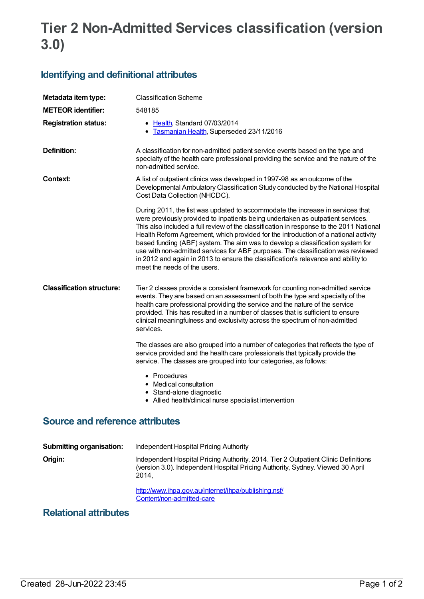# **Tier 2 Non-Admitted Services classification (version 3.0)**

## **Identifying and definitional attributes**

| Metadata item type:              | <b>Classification Scheme</b>                                                                                                                                                                                                                                                                                                                                                                                                                                                                                                                                                                                                                   |
|----------------------------------|------------------------------------------------------------------------------------------------------------------------------------------------------------------------------------------------------------------------------------------------------------------------------------------------------------------------------------------------------------------------------------------------------------------------------------------------------------------------------------------------------------------------------------------------------------------------------------------------------------------------------------------------|
| <b>METEOR</b> identifier:        | 548185                                                                                                                                                                                                                                                                                                                                                                                                                                                                                                                                                                                                                                         |
| <b>Registration status:</b>      | • Health, Standard 07/03/2014<br>Tasmanian Health, Superseded 23/11/2016<br>٠                                                                                                                                                                                                                                                                                                                                                                                                                                                                                                                                                                  |
| Definition:                      | A classification for non-admitted patient service events based on the type and<br>specialty of the health care professional providing the service and the nature of the<br>non-admitted service.                                                                                                                                                                                                                                                                                                                                                                                                                                               |
| <b>Context:</b>                  | A list of outpatient clinics was developed in 1997-98 as an outcome of the<br>Developmental Ambulatory Classification Study conducted by the National Hospital<br>Cost Data Collection (NHCDC).                                                                                                                                                                                                                                                                                                                                                                                                                                                |
|                                  | During 2011, the list was updated to accommodate the increase in services that<br>were previously provided to inpatients being undertaken as outpatient services.<br>This also included a full review of the classification in response to the 2011 National<br>Health Reform Agreement, which provided for the introduction of a national activity<br>based funding (ABF) system. The aim was to develop a classification system for<br>use with non-admitted services for ABF purposes. The classification was reviewed<br>in 2012 and again in 2013 to ensure the classification's relevance and ability to<br>meet the needs of the users. |
| <b>Classification structure:</b> | Tier 2 classes provide a consistent framework for counting non-admitted service<br>events. They are based on an assessment of both the type and specialty of the<br>health care professional providing the service and the nature of the service<br>provided. This has resulted in a number of classes that is sufficient to ensure<br>clinical meaningfulness and exclusivity across the spectrum of non-admitted<br>services.                                                                                                                                                                                                                |
|                                  | The classes are also grouped into a number of categories that reflects the type of<br>service provided and the health care professionals that typically provide the<br>service. The classes are grouped into four categories, as follows:                                                                                                                                                                                                                                                                                                                                                                                                      |
|                                  | • Procedures<br>• Medical consultation<br>• Stand-alone diagnostic<br>• Allied health/clinical nurse specialist intervention                                                                                                                                                                                                                                                                                                                                                                                                                                                                                                                   |
|                                  | 44. EL 114. L                                                                                                                                                                                                                                                                                                                                                                                                                                                                                                                                                                                                                                  |

#### **Source and reference attributes**

| <b>Submitting organisation:</b> | Independent Hospital Pricing Authority                                                                                                                                        |
|---------------------------------|-------------------------------------------------------------------------------------------------------------------------------------------------------------------------------|
| Origin:                         | Independent Hospital Pricing Authority, 2014. Tier 2 Outpatient Clinic Definitions<br>(version 3.0). Independent Hospital Pricing Authority, Sydney. Viewed 30 April<br>2014. |
|                                 | http://www.ihpa.gov.au/internet/ihpa/publishing.nsf/<br>Content/non-admitted-care                                                                                             |

### **Relational attributes**